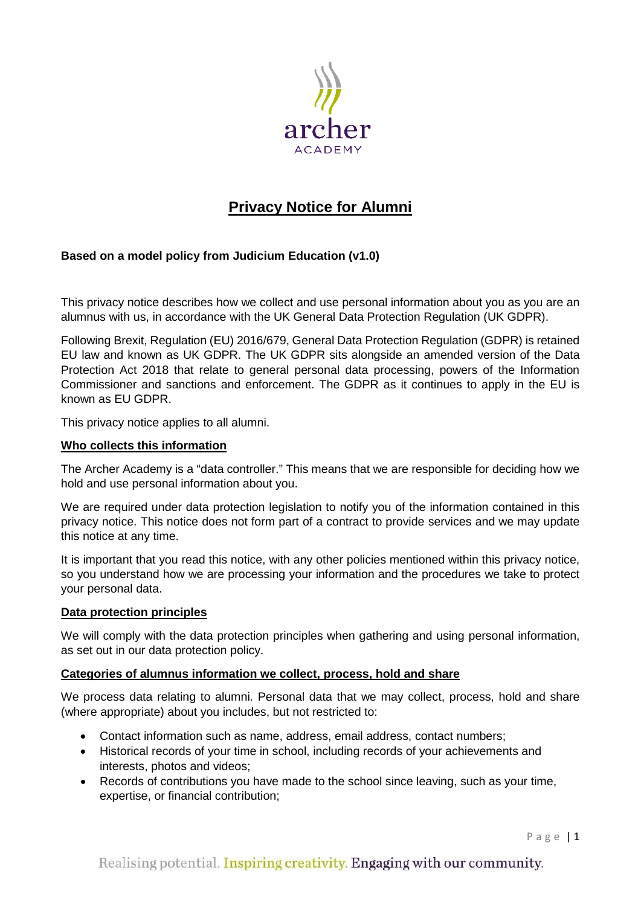

# **Privacy Notice for Alumni**

## **Based on a model policy from Judicium Education (v1.0)**

This privacy notice describes how we collect and use personal information about you as you are an alumnus with us, in accordance with the UK General Data Protection Regulation (UK GDPR).

Following Brexit, Regulation (EU) 2016/679, General Data Protection Regulation (GDPR) is retained EU law and known as UK GDPR. The UK GDPR sits alongside an amended version of the Data Protection Act 2018 that relate to general personal data processing, powers of the Information Commissioner and sanctions and enforcement. The GDPR as it continues to apply in the EU is known as EU GDPR.

This privacy notice applies to all alumni.

#### **Who collects this information**

The Archer Academy is a "data controller." This means that we are responsible for deciding how we hold and use personal information about you.

We are required under data protection legislation to notify you of the information contained in this privacy notice. This notice does not form part of a contract to provide services and we may update this notice at any time.

It is important that you read this notice, with any other policies mentioned within this privacy notice, so you understand how we are processing your information and the procedures we take to protect your personal data.

#### **Data protection principles**

We will comply with the data protection principles when gathering and using personal information, as set out in our data protection policy.

### **Categories of alumnus information we collect, process, hold and share**

We process data relating to alumni. Personal data that we may collect, process, hold and share (where appropriate) about you includes, but not restricted to:

- Contact information such as name, address, email address, contact numbers;
- Historical records of your time in school, including records of your achievements and interests, photos and videos;
- Records of contributions you have made to the school since leaving, such as your time, expertise, or financial contribution;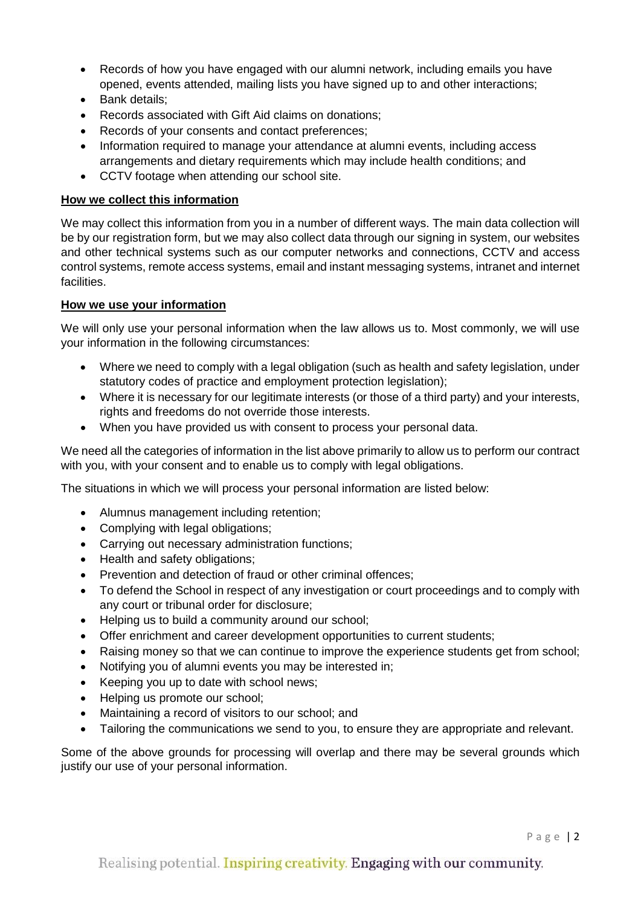- Records of how you have engaged with our alumni network, including emails you have opened, events attended, mailing lists you have signed up to and other interactions;
- Bank details;
- Records associated with Gift Aid claims on donations;
- Records of your consents and contact preferences;
- Information required to manage your attendance at alumni events, including access arrangements and dietary requirements which may include health conditions; and
- CCTV footage when attending our school site.

## **How we collect this information**

We may collect this information from you in a number of different ways. The main data collection will be by our registration form, but we may also collect data through our signing in system, our websites and other technical systems such as our computer networks and connections, CCTV and access control systems, remote access systems, email and instant messaging systems, intranet and internet facilities.

## **How we use your information**

We will only use your personal information when the law allows us to. Most commonly, we will use your information in the following circumstances:

- Where we need to comply with a legal obligation (such as health and safety legislation, under statutory codes of practice and employment protection legislation);
- Where it is necessary for our legitimate interests (or those of a third party) and your interests, rights and freedoms do not override those interests.
- When you have provided us with consent to process your personal data.

We need all the categories of information in the list above primarily to allow us to perform our contract with you, with your consent and to enable us to comply with legal obligations.

The situations in which we will process your personal information are listed below:

- Alumnus management including retention;
- Complying with legal obligations;
- Carrying out necessary administration functions;
- Health and safety obligations;
- Prevention and detection of fraud or other criminal offences;
- To defend the School in respect of any investigation or court proceedings and to comply with any court or tribunal order for disclosure;
- Helping us to build a community around our school;
- Offer enrichment and career development opportunities to current students;
- Raising money so that we can continue to improve the experience students get from school;
- Notifying you of alumni events you may be interested in;
- Keeping you up to date with school news;
- Helping us promote our school;
- Maintaining a record of visitors to our school; and
- Tailoring the communications we send to you, to ensure they are appropriate and relevant.

Some of the above grounds for processing will overlap and there may be several grounds which justify our use of your personal information.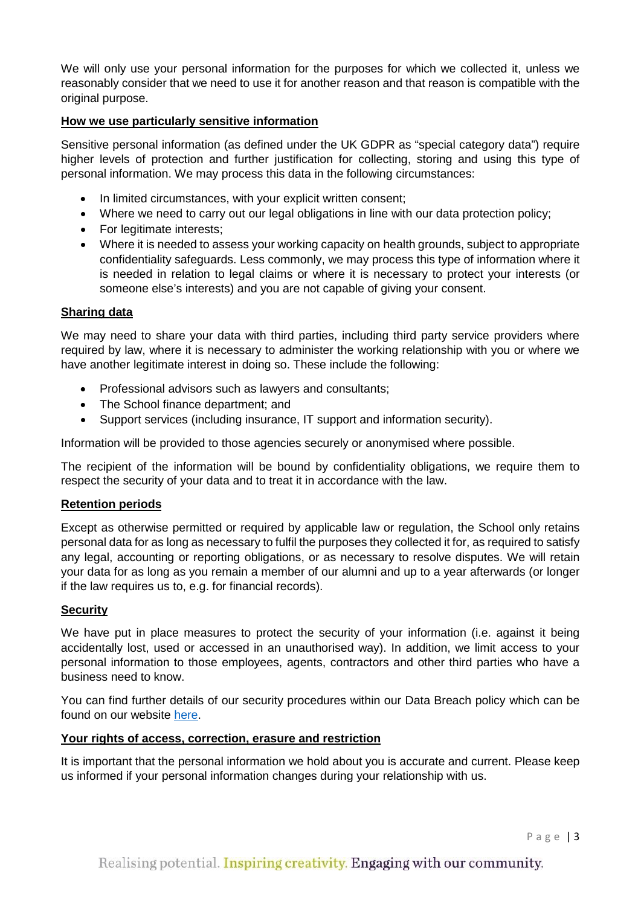We will only use your personal information for the purposes for which we collected it, unless we reasonably consider that we need to use it for another reason and that reason is compatible with the original purpose.

### **How we use particularly sensitive information**

Sensitive personal information (as defined under the UK GDPR as "special category data") require higher levels of protection and further justification for collecting, storing and using this type of personal information. We may process this data in the following circumstances:

- In limited circumstances, with your explicit written consent;
- Where we need to carry out our legal obligations in line with our data protection policy;
- For legitimate interests;
- Where it is needed to assess your working capacity on health grounds, subject to appropriate confidentiality safeguards. Less commonly, we may process this type of information where it is needed in relation to legal claims or where it is necessary to protect your interests (or someone else's interests) and you are not capable of giving your consent.

### **Sharing data**

We may need to share your data with third parties, including third party service providers where required by law, where it is necessary to administer the working relationship with you or where we have another legitimate interest in doing so. These include the following:

- Professional advisors such as lawyers and consultants;
- The School finance department: and
- Support services (including insurance, IT support and information security).

Information will be provided to those agencies securely or anonymised where possible.

The recipient of the information will be bound by confidentiality obligations, we require them to respect the security of your data and to treat it in accordance with the law.

### **Retention periods**

Except as otherwise permitted or required by applicable law or regulation, the School only retains personal data for as long as necessary to fulfil the purposes they collected it for, as required to satisfy any legal, accounting or reporting obligations, or as necessary to resolve disputes. We will retain your data for as long as you remain a member of our alumni and up to a year afterwards (or longer if the law requires us to, e.g. for financial records).

### **Security**

We have put in place measures to protect the security of your information (i.e. against it being accidentally lost, used or accessed in an unauthorised way). In addition, we limit access to your personal information to those employees, agents, contractors and other third parties who have a business need to know.

You can find further details of our security procedures within our Data Breach policy which can be found on our website [here.](https://thearcheracademy.org.uk/data-protection/)

### **Your rights of access, correction, erasure and restriction**

It is important that the personal information we hold about you is accurate and current. Please keep us informed if your personal information changes during your relationship with us.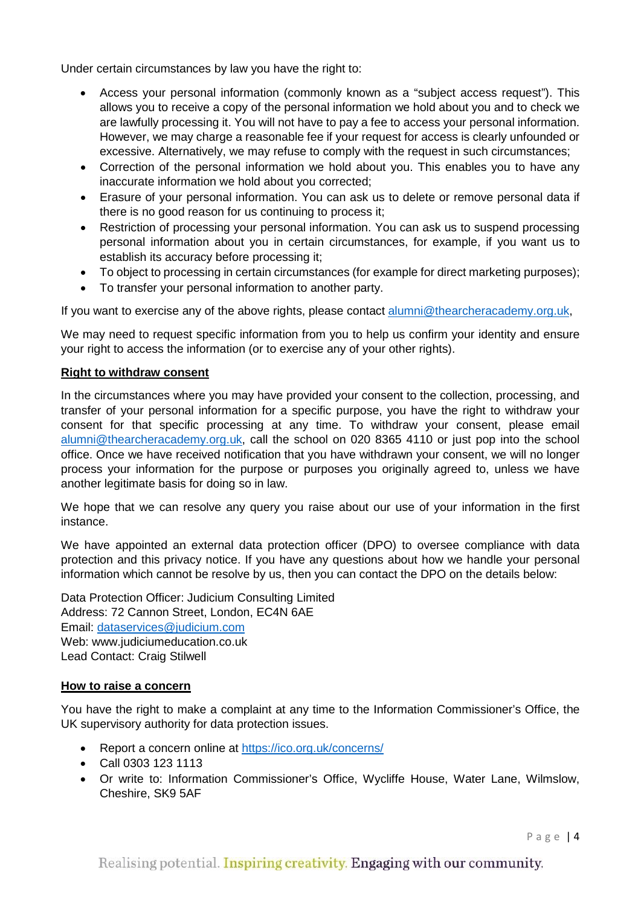Under certain circumstances by law you have the right to:

- Access your personal information (commonly known as a "subject access request"). This allows you to receive a copy of the personal information we hold about you and to check we are lawfully processing it. You will not have to pay a fee to access your personal information. However, we may charge a reasonable fee if your request for access is clearly unfounded or excessive. Alternatively, we may refuse to comply with the request in such circumstances;
- Correction of the personal information we hold about you. This enables you to have any inaccurate information we hold about you corrected;
- Erasure of your personal information. You can ask us to delete or remove personal data if there is no good reason for us continuing to process it;
- Restriction of processing your personal information. You can ask us to suspend processing personal information about you in certain circumstances, for example, if you want us to establish its accuracy before processing it;
- To object to processing in certain circumstances (for example for direct marketing purposes);
- To transfer your personal information to another party.

If you want to exercise any of the above rights, please contact [alumni@thearcheracademy.org.uk,](mailto:alumni@thearcheracademy.org.uk)

We may need to request specific information from you to help us confirm your identity and ensure your right to access the information (or to exercise any of your other rights).

## **Right to withdraw consent**

In the circumstances where you may have provided your consent to the collection, processing, and transfer of your personal information for a specific purpose, you have the right to withdraw your consent for that specific processing at any time. To withdraw your consent, please email [alumni@thearcheracademy.org.uk,](mailto:alumni@thearcheracademy.org.uk) call the school on 020 8365 4110 or just pop into the school office. Once we have received notification that you have withdrawn your consent, we will no longer process your information for the purpose or purposes you originally agreed to, unless we have another legitimate basis for doing so in law.

We hope that we can resolve any query you raise about our use of your information in the first instance.

We have appointed an external data protection officer (DPO) to oversee compliance with data protection and this privacy notice. If you have any questions about how we handle your personal information which cannot be resolve by us, then you can contact the DPO on the details below:

Data Protection Officer: Judicium Consulting Limited Address: 72 Cannon Street, London, EC4N 6AE Email: [dataservices@judicium.com](mailto:dataservices@judicium.com) Web: www.judiciumeducation.co.uk Lead Contact: Craig Stilwell

## **How to raise a concern**

You have the right to make a complaint at any time to the Information Commissioner's Office, the UK supervisory authority for data protection issues.

- Report a concern online at<https://ico.org.uk/concerns/>
- Call 0303 123 1113
- Or write to: Information Commissioner's Office, Wycliffe House, Water Lane, Wilmslow, Cheshire, SK9 5AF